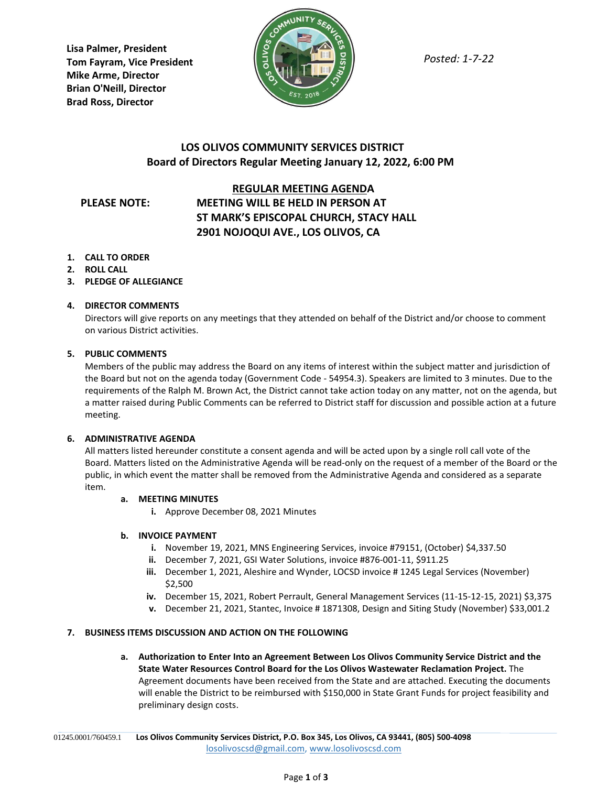**Lisa Palmer, President Tom Fayram, Vice President Mike Arme, Director Brian O'Neill, Director Brad Ross, Director**



*Posted: 1-7-22*

## **LOS OLIVOS COMMUNITY SERVICES DISTRICT Board of Directors Regular Meeting January 12, 2022, 6:00 PM**

### **REGULAR MEETING AGENDA**

# **PLEASE NOTE: MEETING WILL BE HELD IN PERSON AT ST MARK'S EPISCOPAL CHURCH, STACY HALL 2901 NOJOQUI AVE., LOS OLIVOS, CA**

- **1. CALL TO ORDER**
- **2. ROLL CALL**
- **3. PLEDGE OF ALLEGIANCE**

#### **4. DIRECTOR COMMENTS**

Directors will give reports on any meetings that they attended on behalf of the District and/or choose to comment on various District activities.

#### **5. PUBLIC COMMENTS**

Members of the public may address the Board on any items of interest within the subject matter and jurisdiction of the Board but not on the agenda today (Government Code - 54954.3). Speakers are limited to 3 minutes. Due to the requirements of the Ralph M. Brown Act, the District cannot take action today on any matter, not on the agenda, but a matter raised during Public Comments can be referred to District staff for discussion and possible action at a future meeting.

#### **6. ADMINISTRATIVE AGENDA**

All matters listed hereunder constitute a consent agenda and will be acted upon by a single roll call vote of the Board. Matters listed on the Administrative Agenda will be read-only on the request of a member of the Board or the public, in which event the matter shall be removed from the Administrative Agenda and considered as a separate item.

#### **a. MEETING MINUTES**

**i.** Approve December 08, 2021 Minutes

#### **b. INVOICE PAYMENT**

- **i.** November 19, 2021, MNS Engineering Services, invoice #79151, (October) \$4,337.50
- **ii.** December 7, 2021, GSI Water Solutions, invoice #876-001-11, \$911.25
- **iii.** December 1, 2021, Aleshire and Wynder, LOCSD invoice # 1245 Legal Services (November) \$2,500
- **iv.** December 15, 2021, Robert Perrault, General Management Services (11-15-12-15, 2021) \$3,375
- **v.** December 21, 2021, Stantec, Invoice # 1871308, Design and Siting Study (November) \$33,001.2

#### **7. BUSINESS ITEMS DISCUSSION AND ACTION ON THE FOLLOWING**

**a. Authorization to Enter Into an Agreement Between Los Olivos Community Service District and the State Water Resources Control Board for the Los Olivos Wastewater Reclamation Project.** The Agreement documents have been received from the State and are attached. Executing the documents will enable the District to be reimbursed with \$150,000 in State Grant Funds for project feasibility and preliminary design costs.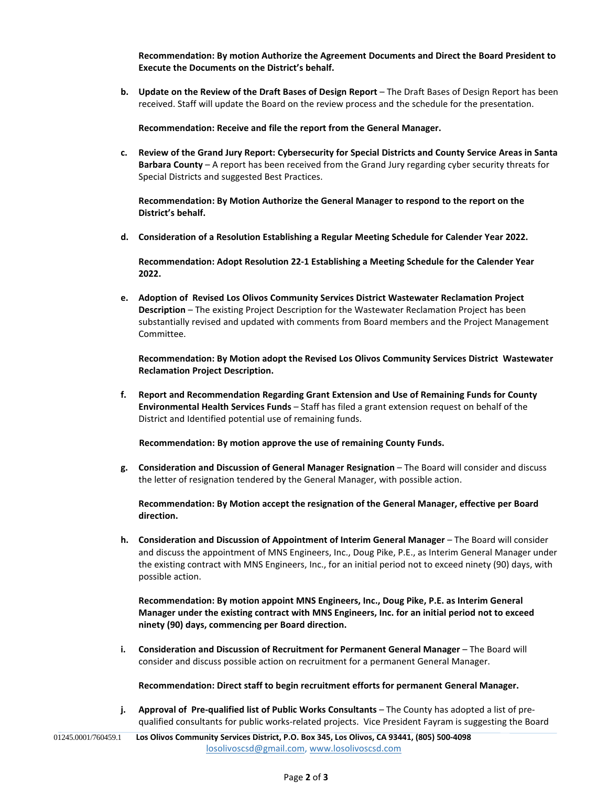**Recommendation: By motion Authorize the Agreement Documents and Direct the Board President to Execute the Documents on the District's behalf.**

**b. Update on the Review of the Draft Bases of Design Report** – The Draft Bases of Design Report has been received. Staff will update the Board on the review process and the schedule for the presentation.

**Recommendation: Receive and file the report from the General Manager.**

**c. Review of the Grand Jury Report: Cybersecurity for Special Districts and County Service Areas in Santa Barbara County** – A report has been received from the Grand Jury regarding cyber security threats for Special Districts and suggested Best Practices.

**Recommendation: By Motion Authorize the General Manager to respond to the report on the District's behalf.**

**d. Consideration of a Resolution Establishing a Regular Meeting Schedule for Calender Year 2022.**

**Recommendation: Adopt Resolution 22-1 Establishing a Meeting Schedule for the Calender Year 2022.**

**e. Adoption of Revised Los Olivos Community Services District Wastewater Reclamation Project Description** – The existing Project Description for the Wastewater Reclamation Project has been substantially revised and updated with comments from Board members and the Project Management Committee.

**Recommendation: By Motion adopt the Revised Los Olivos Community Services District Wastewater Reclamation Project Description.**

**f. Report and Recommendation Regarding Grant Extension and Use of Remaining Funds for County Environmental Health Services Funds** – Staff has filed a grant extension request on behalf of the District and Identified potential use of remaining funds.

 **Recommendation: By motion approve the use of remaining County Funds.**

**g. Consideration and Discussion of General Manager Resignation** – The Board will consider and discuss the letter of resignation tendered by the General Manager, with possible action.

**Recommendation: By Motion accept the resignation of the General Manager, effective per Board direction.**

**h. Consideration and Discussion of Appointment of Interim General Manager** – The Board will consider and discuss the appointment of MNS Engineers, Inc., Doug Pike, P.E., as Interim General Manager under the existing contract with MNS Engineers, Inc., for an initial period not to exceed ninety (90) days, with possible action.

**Recommendation: By motion appoint MNS Engineers, Inc., Doug Pike, P.E. as Interim General Manager under the existing contract with MNS Engineers, Inc. for an initial period not to exceed ninety (90) days, commencing per Board direction.**

**i. Consideration and Discussion of Recruitment for Permanent General Manager** – The Board will consider and discuss possible action on recruitment for a permanent General Manager.

**Recommendation: Direct staff to begin recruitment efforts for permanent General Manager.**

**j. Approval of Pre-qualified list of Public Works Consultants** – The County has adopted a list of prequalified consultants for public works-related projects. Vice President Fayram is suggesting the Board

**Los Olivos Community Services District, P.O. Box 345, Los Olivos, CA 93441, (805) 500-4098** [losolivoscsd@gmail.com,](mailto:losolivoscsd@gmail.com) [www.losolivoscsd.com](mailto:districtoffice@smvwcd.org) 01245.0001/760459.1